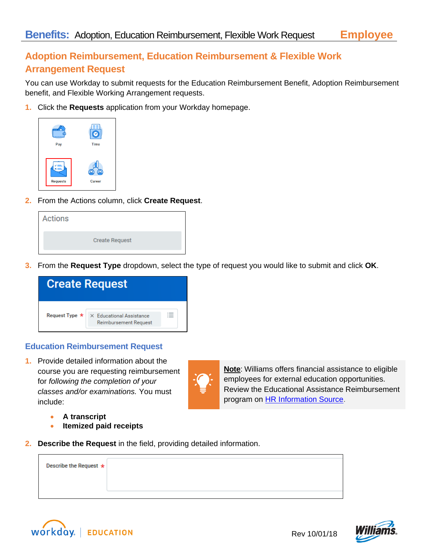## **Adoption Reimbursement, Education Reimbursement & Flexible Work Arrangement Request**

You can use Workday to submit requests for the Education Reimbursement Benefit, Adoption Reimbursement benefit, and Flexible Working Arrangement requests.

**1.** Click the **Requests** application from your Workday homepage.



**2.** From the Actions column, click **Create Request**.

| <b>Create Request</b> |
|-----------------------|

**3.** From the **Request Type** dropdown, select the type of request you would like to submit and click **OK**.

|                | <b>Create Request</b>                                    |  |
|----------------|----------------------------------------------------------|--|
| Request Type * | X Educational Assistance<br><b>Reimbursement Request</b> |  |

## **Education Reimbursement Request**

**1.** Provide detailed information about the course you are requesting reimbursement for *following the completion of your classes and/or examinations.* You must include:



**A transcript**

- **Itemized paid receipts**
- **2. Describe the Request** in the field, providing detailed information.

| Describe the Request $\star$ |  |
|------------------------------|--|
|                              |  |





**Note**: Williams offers financial assistance to eligible employees for external education opportunities. Review the Educational Assistance Reimbursement

program on **HR Information Source**.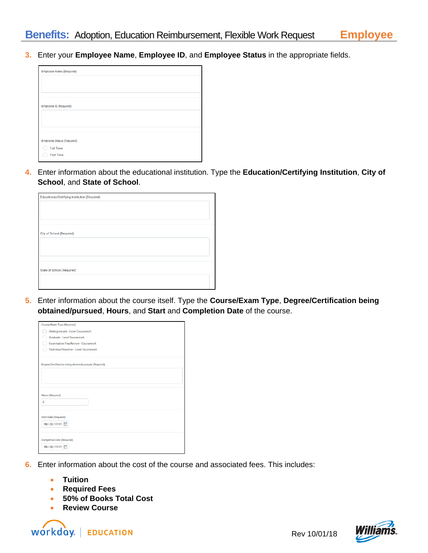**3.** Enter your **Employee Name**, **Employee ID**, and **Employee Status** in the appropriate fields.



**4.** Enter information about the educational institution. Type the **Education/Certifying Institution**, **City of School**, and **State of School**.

| Educational/Certifying Institution (Required) |  |
|-----------------------------------------------|--|
|                                               |  |
|                                               |  |
|                                               |  |
|                                               |  |
| <b>City of School (Required)</b>              |  |
|                                               |  |
|                                               |  |
|                                               |  |
|                                               |  |
| <b>State of School (Required)</b>             |  |
|                                               |  |
|                                               |  |

**5.** Enter information about the course itself. Type the **Course/Exam Type**, **Degree/Certification being obtained/pursued**, **Hours**, and **Start** and **Completion Date** of the course.

| Course/Exam Type (Required)                            |  |
|--------------------------------------------------------|--|
| Undergraduate - Level Coursework                       |  |
| Graduate - Level Coursework                            |  |
| <b>Examination Fee/Review - Coursework</b>             |  |
| Technical/Vocation - Level Coursework                  |  |
|                                                        |  |
| Degree/Certification being obtained/pursued (Required) |  |
|                                                        |  |
|                                                        |  |
|                                                        |  |
| Hours (Required)                                       |  |
| $\mathbf{0}$                                           |  |
|                                                        |  |
| <b>Start Date (Required)</b>                           |  |
| MM/DD/YYYY 自                                           |  |
|                                                        |  |
|                                                        |  |
| <b>Completion Date (Required)</b>                      |  |
| MM/DD/YYYY                                             |  |
|                                                        |  |

- **6.** Enter information about the cost of the course and associated fees. This includes:
	- **Tuition**
	- **Required Fees**
	- **50% of Books Total Cost**
	- **Review Course**



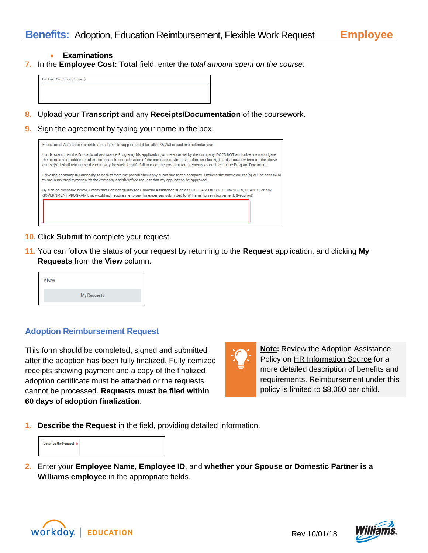**Employee**

- **Examinations**
- **7.** In the **Employee Cost: Total** field, enter the *total amount spent on the course*.



- **8.** Upload your **Transcript** and any **Receipts/Documentation** of the coursework.
- **9.** Sign the agreement by typing your name in the box.

| Educational Assistance benefits are subject to supplemental tax after \$5,250 is paid in a calendar year.                                                                                                                                                                                                                                                                                                                            |  |
|--------------------------------------------------------------------------------------------------------------------------------------------------------------------------------------------------------------------------------------------------------------------------------------------------------------------------------------------------------------------------------------------------------------------------------------|--|
| I understand that the Educational Assistance Program, this application, or the approval by the company, DOES NOT authorize me to obligate<br>the company for tuition or other expenses. In consideration of the company paying my tuition, text book(s), and laboratory fees for the above<br>course(s), I shall reimburse the company for such fees if I fail to meet the program requirements as outlined in the Program Document. |  |
| give the company full authority to deduct from my payroll check any sums due to the company. I believe the above course(s) will be beneficial<br>to me in my employment with the company and therefore request that my application be approved.                                                                                                                                                                                      |  |
| By signing my name below, I verify that I do not qualify for Financial Assistance such as SCHOLARSHIPS, FELLOWSHIPS, GRANTS, or any<br>GOVERNMENT PROGRAM that would not require me to pay for expenses submitted to Williams for reimbursement. (Required)                                                                                                                                                                          |  |
|                                                                                                                                                                                                                                                                                                                                                                                                                                      |  |

- **10.** Click **Submit** to complete your request.
- **11.** You can follow the status of your request by returning to the **Request** application, and clicking **My Requests** from the **View** column.

| <b>View</b> |                    |  |
|-------------|--------------------|--|
|             | <b>My Requests</b> |  |

## **Adoption Reimbursement Request**

This form should be completed, signed and submitted after the adoption has been fully finalized. Fully itemized receipts showing payment and a copy of the finalized adoption certificate must be attached or the requests cannot be processed. **Requests must be filed within 60 days of adoption finalization**.

**12.**

**Note:** Review the Adoption Assistance Policy on HR [Information](http://my.williams.com/depts/enterprise/hris/benefits/Pages/AdoptionAssistance.aspx) Source for a more detailed description of benefits and requirements. Reimbursement under this policy is limited to \$8,000 per child.

**1. Describe the Request** in the field, providing detailed information.

| Describe the Request $\star$ |  |  |
|------------------------------|--|--|
|                              |  |  |
|                              |  |  |

**2.** Enter your **Employee Name**, **Employee ID**, and **whether your Spouse or Domestic Partner is a Williams employee** in the appropriate fields.



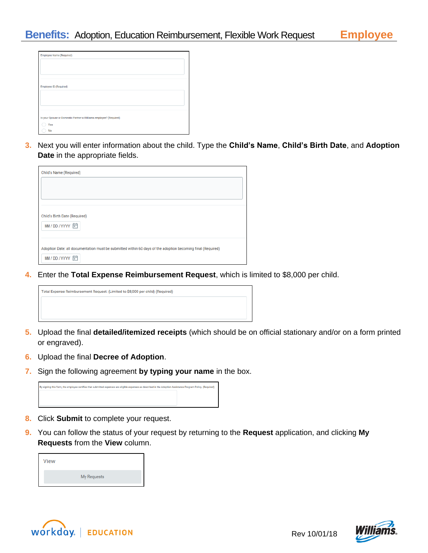| <b>Employee Name (Required)</b>                                                 |
|---------------------------------------------------------------------------------|
| Employee ID (Required)                                                          |
| Is your Spouse or Domestic Partner a Williams employee? (Required)<br>Yes<br>No |

**3.** Next you will enter information about the child. Type the **Child's Name**, **Child's Birth Date**, and **Adoption Date** in the appropriate fields.

| Child's Name (Required)                                                                                     |  |
|-------------------------------------------------------------------------------------------------------------|--|
|                                                                                                             |  |
|                                                                                                             |  |
|                                                                                                             |  |
| Child's Birth Date (Required)                                                                               |  |
| MM/DD/YYYY 同                                                                                                |  |
| Adoption Date: all documentation must be submitted within 60 days of the adoption becoming final (Required) |  |
| MM/DD/YYYY 向                                                                                                |  |
|                                                                                                             |  |

**4.** Enter the **Total Expense Reimbursement Request**, which is limited to \$8,000 per child.



- **5.** Upload the final **detailed/itemized receipts** (which should be on official stationary and/or on a form printed or engraved).
- **6.** Upload the final **Decree of Adoption**.
- **7.** Sign the following agreement **by typing your name** in the box.



- **8.** Click **Submit** to complete your request.
- **9.** You can follow the status of your request by returning to the **Request** application, and clicking **My Requests** from the **View** column.

| <b>View</b> |                    |
|-------------|--------------------|
|             | <b>My Requests</b> |